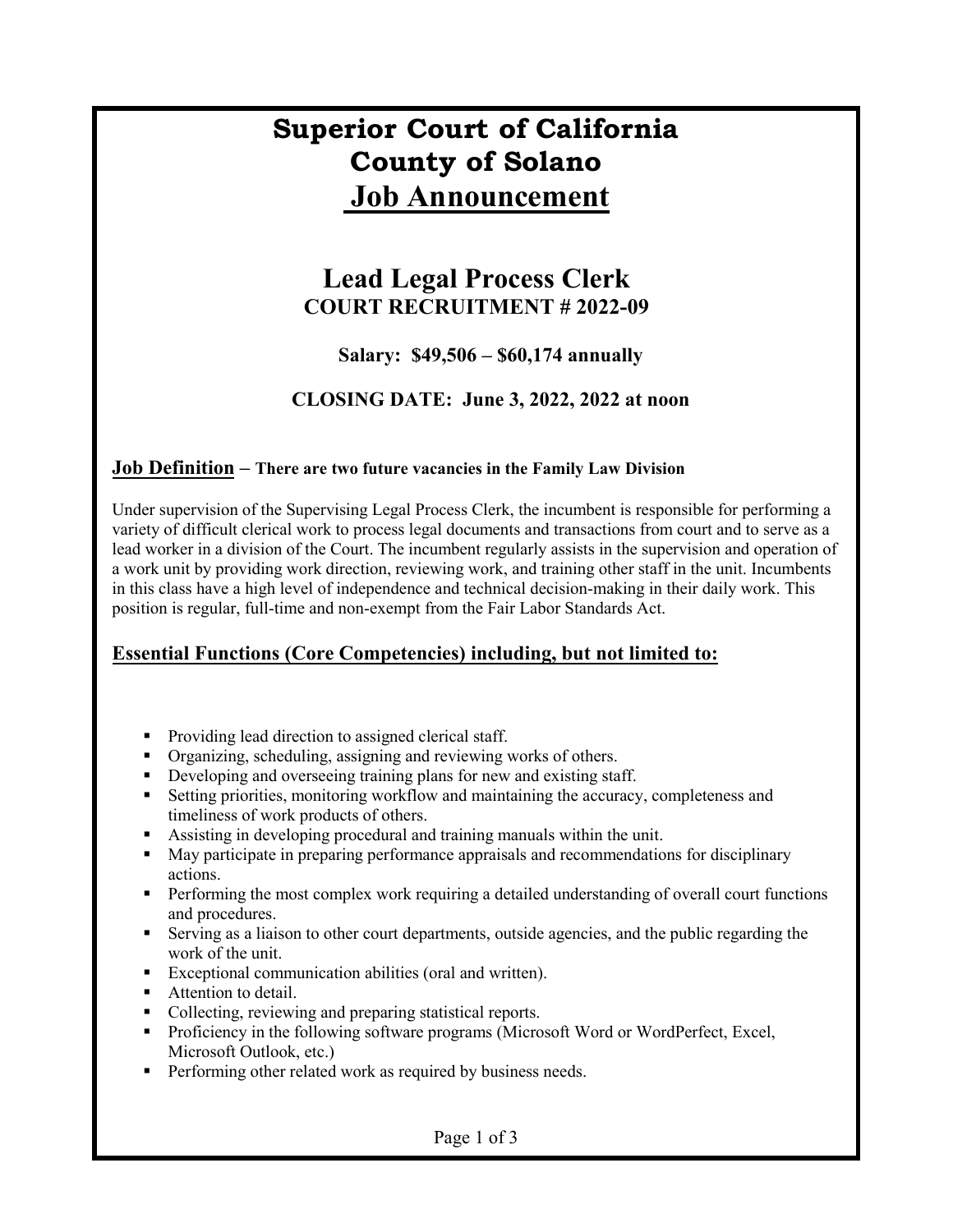# **Superior Court of California County of Solano Job Announcement**

### **Lead Legal Process Clerk COURT RECRUITMENT # 2022-09**

### **Salary: \$49,506 – \$60,174 annually**

### **CLOSING DATE: June 3, 2022, 2022 at noon**

#### **Job Definition – There are two future vacancies in the Family Law Division**

Under supervision of the Supervising Legal Process Clerk, the incumbent is responsible for performing a variety of difficult clerical work to process legal documents and transactions from court and to serve as a lead worker in a division of the Court. The incumbent regularly assists in the supervision and operation of a work unit by providing work direction, reviewing work, and training other staff in the unit. Incumbents in this class have a high level of independence and technical decision-making in their daily work. This position is regular, full-time and non-exempt from the Fair Labor Standards Act.

#### **Essential Functions (Core Competencies) including, but not limited to:**

- Providing lead direction to assigned clerical staff.
- Organizing, scheduling, assigning and reviewing works of others.
- Developing and overseeing training plans for new and existing staff.
- Setting priorities, monitoring workflow and maintaining the accuracy, completeness and timeliness of work products of others.
- Assisting in developing procedural and training manuals within the unit.
- May participate in preparing performance appraisals and recommendations for disciplinary actions.
- **Performing the most complex work requiring a detailed understanding of overall court functions** and procedures.
- Serving as a liaison to other court departments, outside agencies, and the public regarding the work of the unit.
- Exceptional communication abilities (oral and written).
- **Attention to detail.**
- Collecting, reviewing and preparing statistical reports.
- Proficiency in the following software programs (Microsoft Word or WordPerfect, Excel, Microsoft Outlook, etc.)
- **Performing other related work as required by business needs.**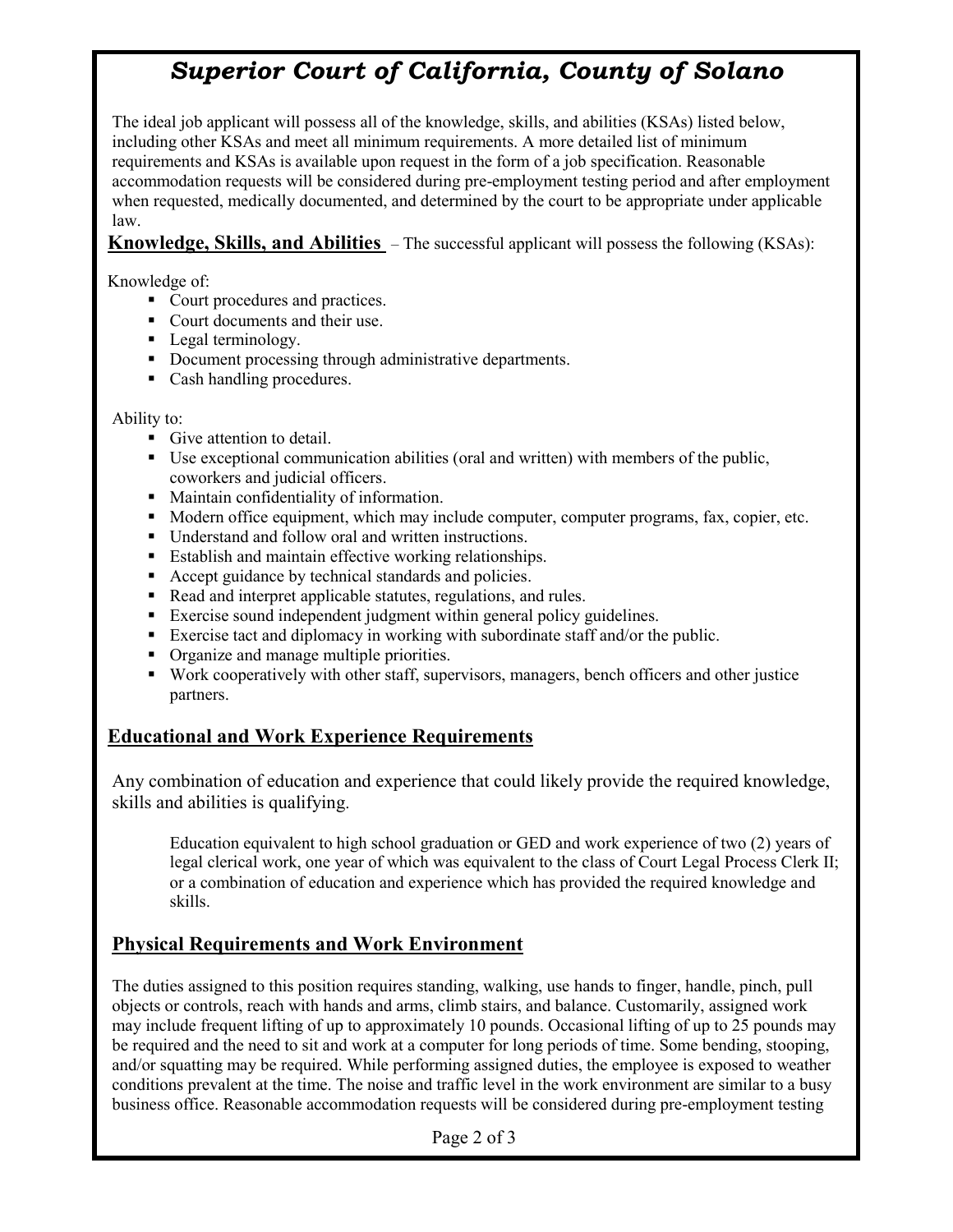## *Superior Court of California, County of Solano*

The ideal job applicant will possess all of the knowledge, skills, and abilities (KSAs) listed below, including other KSAs and meet all minimum requirements. A more detailed list of minimum requirements and KSAs is available upon request in the form of a job specification. Reasonable accommodation requests will be considered during pre-employment testing period and after employment when requested, medically documented, and determined by the court to be appropriate under applicable law.

**Knowledge, Skills, and Abilities** – The successful applicant will possess the following (KSAs):

Knowledge of:

- Court procedures and practices.
- Court documents and their use.
- Legal terminology.
- Document processing through administrative departments.
- Cash handling procedures.

#### Ability to:

- Give attention to detail.
- Use exceptional communication abilities (oral and written) with members of the public, coworkers and judicial officers.
- Maintain confidentiality of information.
- Modern office equipment, which may include computer, computer programs, fax, copier, etc.
- Understand and follow oral and written instructions.
- **Establish and maintain effective working relationships.**
- Accept guidance by technical standards and policies.
- Read and interpret applicable statutes, regulations, and rules.
- Exercise sound independent judgment within general policy guidelines.
- Exercise tact and diplomacy in working with subordinate staff and/or the public.
- Organize and manage multiple priorities.
- Work cooperatively with other staff, supervisors, managers, bench officers and other justice partners.

### **Educational and Work Experience Requirements**

Any combination of education and experience that could likely provide the required knowledge, skills and abilities is qualifying.

Education equivalent to high school graduation or GED and work experience of two (2) years of legal clerical work, one year of which was equivalent to the class of Court Legal Process Clerk II; or a combination of education and experience which has provided the required knowledge and skills.

### **Physical Requirements and Work Environment**

The duties assigned to this position requires standing, walking, use hands to finger, handle, pinch, pull objects or controls, reach with hands and arms, climb stairs, and balance. Customarily, assigned work may include frequent lifting of up to approximately 10 pounds. Occasional lifting of up to 25 pounds may be required and the need to sit and work at a computer for long periods of time. Some bending, stooping, and/or squatting may be required. While performing assigned duties, the employee is exposed to weather conditions prevalent at the time. The noise and traffic level in the work environment are similar to a busy business office. Reasonable accommodation requests will be considered during pre-employment testing